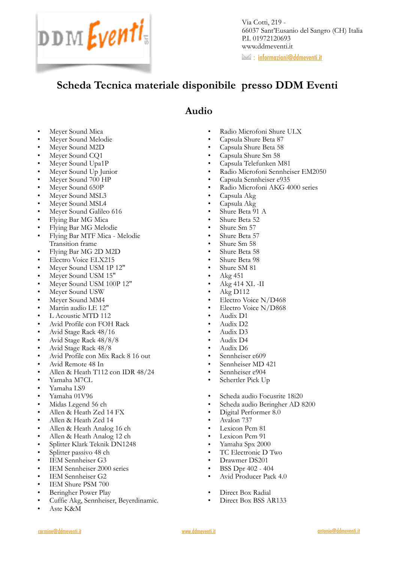

Via Cotti, 219 - 66037 Sant'Eusanio del Sangro (CH) Italia P.I. 01972120693 www.ddmeventi.it

 $\geq$  : [informazioni@ddmeventi.it](mailto:informazioni@ddmeventi.it?subject=)

# **Scheda Tecnica materiale disponibile presso DDM Eventi**

#### **Audio**

- Meyer Sound Mica
- Meyer Sound Melodie
- Meyer Sound M2D
- Meyer Sound CQ1
- Meyer Sound Upa1P
- Meyer Sound Up Junior
- Meyer Sound 700 HP
- Meyer Sound 650P
- Meyer Sound MSL3
- Meyer Sound MSL4
- Meyer Sound Galileo 616
- Flying Bar MG Mica
- Flying Bar MG Melodie
- Flying Bar MTF Mica Melodie Transition frame
- Flying Bar MG 2D M2D
- Electro Voice ELX215
- Meyer Sound USM 1P 12"
- Meyer Sound USM 15"
- Meyer Sound USM 100P 12"
- Meyer Sound USW
- Meyer Sound MM4
- Martin audio LE 12"
- L Acoustic MTD 112
- Avid Profile con FOH Rack
- Avid Stage Rack 48/16
- Avid Stage Rack 48/8/8
- Avid Stage Rack 48/8
- Avid Profile con Mix Rack 8 16 out
- Avid Remote 48 In
- Allen & Heath T112 con IDR 48/24
- Yamaha M7CL
- Yamaha LS9
- Yamaha 01V96
- Midas Legend 56 ch
- Allen & Heath Zed 14 FX
- Allen & Heath Zed 14
- Allen & Heath Analog 16 ch
- Allen & Heath Analog 12 ch
- Splitter Klark Teknik DN1248
- Splitter passivo 48 ch
- IEM Sennheiser G3
- IEM Sennheiser 2000 series
- IEM Sennheiser G2
- IEM Shure PSM 700
- Beringher Power Play
- Cuffie Akg, Sennheiser, Beyerdinamic.
- Aste K&M
- Radio Microfoni Shure ULX
- Capsula Shure Beta 87
- Capsula Shure Beta 58
- Capsula Shure Sm 58
- Capsula Telefunken M81
- Radio Microfoni Sennheiser EM2050
- Capsula Sennheiser e935
- Radio Microfoni AKG 4000 series
- Capsula Akg
- Capsula Akg
- Shure Beta 91 A
- Shure Beta 52
- Shure Sm 57
- Shure Beta 57
- Shure Sm 58
- Shure Beta 58
- Shure Beta 98
- Shure SM 81
- $\bullet$  Akg 451
- Akg 414 XL -II
- Akg D112
- Electro Voice N/D468
- Electro Voice N/D868
- Audix D1
- Audix D2
- Audix D3
- Audix D4
- Audix D6
- Sennheiser e609
- Sennheiser MD 421
- Sennheiser e904
- Schertler Pick Up
- Scheda audio Focusrite 18i20
- Scheda audio Beringher AD 8200
- Digital Performer 8.0
- Avalon 737
- Lexicon Pcm 81
- Lexicon Pcm 91
- Yamaha Spx 2000
- TC Electronic D Two
- Drawmer DS201
- BSS Dpr 402 404
- Avid Producer Pack 4.0
- Direct Box Radial
- Direct Box BSS AR133